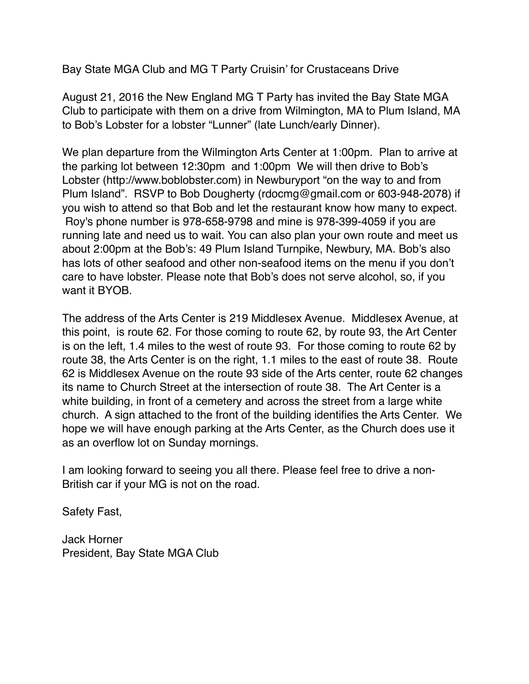Bay State MGA Club and MG T Party Cruisin' for Crustaceans Drive

August 21, 2016 the New England MG T Party has invited the Bay State MGA Club to participate with them on a drive from Wilmington, MA to Plum Island, MA to Bob's Lobster for a lobster "Lunner" (late Lunch/early Dinner).

We plan departure from the Wilmington Arts Center at 1:00pm. Plan to arrive at the parking lot between 12:30pm and 1:00pm We will then drive to Bob's Lobster (http://www.boblobster.com) in Newburyport "on the way to and from Plum Island". RSVP to Bob Dougherty (rdocmg@gmail.com or 603-948-2078) if you wish to attend so that Bob and let the restaurant know how many to expect. Roy's phone number is 978-658-9798 and mine is 978-399-4059 if you are running late and need us to wait. You can also plan your own route and meet us about 2:00pm at the Bob's: 49 Plum Island Turnpike, Newbury, MA. Bob's also has lots of other seafood and other non-seafood items on the menu if you don't care to have lobster. Please note that Bob's does not serve alcohol, so, if you want it BYOB.

The address of the Arts Center is 219 Middlesex Avenue. Middlesex Avenue, at this point, is route 62. For those coming to route 62, by route 93, the Art Center is on the left, 1.4 miles to the west of route 93. For those coming to route 62 by route 38, the Arts Center is on the right, 1.1 miles to the east of route 38. Route 62 is Middlesex Avenue on the route 93 side of the Arts center, route 62 changes its name to Church Street at the intersection of route 38. The Art Center is a white building, in front of a cemetery and across the street from a large white church. A sign attached to the front of the building identifies the Arts Center. We hope we will have enough parking at the Arts Center, as the Church does use it as an overflow lot on Sunday mornings.

I am looking forward to seeing you all there. Please feel free to drive a non-British car if your MG is not on the road.

Safety Fast,

Jack Horner President, Bay State MGA Club